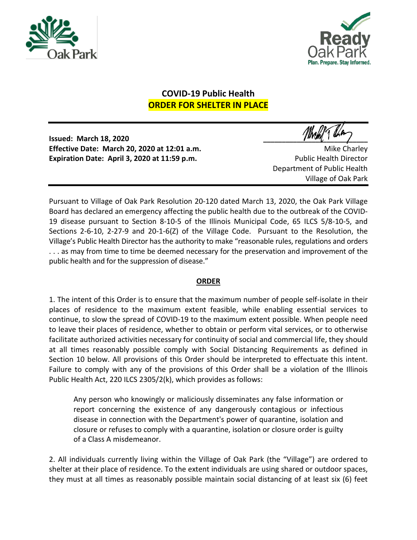



## **COVID-19 Public Health ORDER FOR SHELTER IN PLACE**

**Issued: March 18, 2020 \_\_\_\_\_\_\_\_\_\_\_\_\_\_\_\_\_\_\_\_\_\_\_\_\_\_\_\_ Effective Date: March 20, 2020 at 12:01 a.m.** Microsoft Charley Mike Charley **Expiration Date: April 3, 2020 at 11:59 p.m.** Public Health Director

Department of Public Health Village of Oak Park

Pursuant to Village of Oak Park Resolution 20-120 dated March 13, 2020, the Oak Park Village Board has declared an emergency affecting the public health due to the outbreak of the COVID-19 disease pursuant to Section 8-10-5 of the Illinois Municipal Code, 65 ILCS 5/8-10-5, and Sections 2-6-10, 2-27-9 and 20-1-6(Z) of the Village Code. Pursuant to the Resolution, the Village's Public Health Director has the authority to make "reasonable rules, regulations and orders ... as may from time to time be deemed necessary for the preservation and improvement of the public health and for the suppression of disease."

## **ORDER**

1. The intent of this Order is to ensure that the maximum number of people self-isolate in their places of residence to the maximum extent feasible, while enabling essential services to continue, to slow the spread of COVID-19 to the maximum extent possible. When people need to leave their places of residence, whether to obtain or perform vital services, or to otherwise facilitate authorized activities necessary for continuity of social and commercial life, they should at all times reasonably possible comply with Social Distancing Requirements as defined in Section 10 below. All provisions of this Order should be interpreted to effectuate this intent. Failure to comply with any of the provisions of this Order shall be a violation of the Illinois Public Health Act, 220 ILCS 2305/2(k), which provides as follows:

Any person who knowingly or maliciously disseminates any false information or report concerning the existence of any dangerously contagious or infectious disease in connection with the Department's power of quarantine, isolation and closure or refuses to comply with a quarantine, isolation or closure order is guilty of a Class A misdemeanor.

2. All individuals currently living within the Village of Oak Park (the "Village") are ordered to shelter at their place of residence. To the extent individuals are using shared or outdoor spaces, they must at all times as reasonably possible maintain social distancing of at least six (6) feet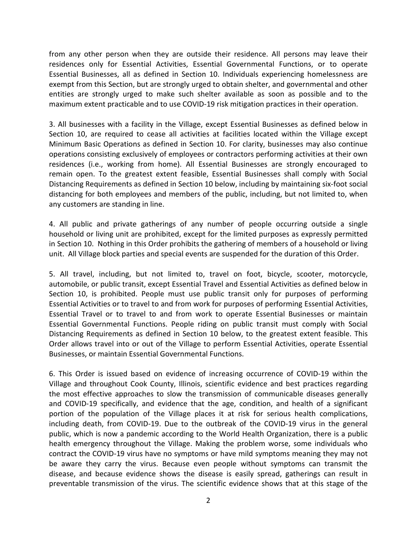from any other person when they are outside their residence. All persons may leave their residences only for Essential Activities, Essential Governmental Functions, or to operate Essential Businesses, all as defined in Section 10. Individuals experiencing homelessness are exempt from this Section, but are strongly urged to obtain shelter, and governmental and other entities are strongly urged to make such shelter available as soon as possible and to the maximum extent practicable and to use COVID-19 risk mitigation practices in their operation.

3. All businesses with a facility in the Village, except Essential Businesses as defined below in Section 10, are required to cease all activities at facilities located within the Village except Minimum Basic Operations as defined in Section 10. For clarity, businesses may also continue operations consisting exclusively of employees or contractors performing activities at their own residences (i.e., working from home). All Essential Businesses are strongly encouraged to remain open. To the greatest extent feasible, Essential Businesses shall comply with Social Distancing Requirements as defined in Section 10 below, including by maintaining six-foot social distancing for both employees and members of the public, including, but not limited to, when any customers are standing in line.

4. All public and private gatherings of any number of people occurring outside a single household or living unit are prohibited, except for the limited purposes as expressly permitted in Section 10. Nothing in this Order prohibits the gathering of members of a household or living unit. All Village block parties and special events are suspended for the duration of this Order.

5. All travel, including, but not limited to, travel on foot, bicycle, scooter, motorcycle, automobile, or public transit, except Essential Travel and Essential Activities as defined below in Section 10, is prohibited. People must use public transit only for purposes of performing Essential Activities or to travel to and from work for purposes of performing Essential Activities, Essential Travel or to travel to and from work to operate Essential Businesses or maintain Essential Governmental Functions. People riding on public transit must comply with Social Distancing Requirements as defined in Section 10 below, to the greatest extent feasible. This Order allows travel into or out of the Village to perform Essential Activities, operate Essential Businesses, or maintain Essential Governmental Functions.

6. This Order is issued based on evidence of increasing occurrence of COVID-19 within the Village and throughout Cook County, Illinois, scientific evidence and best practices regarding the most effective approaches to slow the transmission of communicable diseases generally and COVID-19 specifically, and evidence that the age, condition, and health of a significant portion of the population of the Village places it at risk for serious health complications, including death, from COVID-19. Due to the outbreak of the COVID-19 virus in the general public, which is now a pandemic according to the World Health Organization, there is a public health emergency throughout the Village. Making the problem worse, some individuals who contract the COVID-19 virus have no symptoms or have mild symptoms meaning they may not be aware they carry the virus. Because even people without symptoms can transmit the disease, and because evidence shows the disease is easily spread, gatherings can result in preventable transmission of the virus. The scientific evidence shows that at this stage of the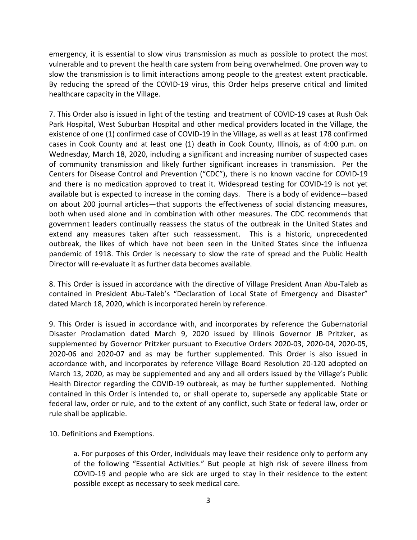emergency, it is essential to slow virus transmission as much as possible to protect the most vulnerable and to prevent the health care system from being overwhelmed. One proven way to slow the transmission is to limit interactions among people to the greatest extent practicable. By reducing the spread of the COVID-19 virus, this Order helps preserve critical and limited healthcare capacity in the Village.

7. This Order also is issued in light of the testing and treatment of COVID-19 cases at Rush Oak Park Hospital, West Suburban Hospital and other medical providers located in the Village, the existence of one (1) confirmed case of COVID-19 in the Village, as well as at least 178 confirmed cases in Cook County and at least one (1) death in Cook County, Illinois, as of 4:00 p.m. on Wednesday, March 18, 2020, including a significant and increasing number of suspected cases of community transmission and likely further significant increases in transmission. Per the Centers for Disease Control and Prevention ("CDC"), there is no known vaccine for COVID-19 and there is no medication approved to treat it. Widespread testing for COVID-19 is not yet available but is expected to increase in the coming days. There is a body of evidence—based on about 200 journal articles—that supports the effectiveness of social distancing measures, both when used alone and in combination with other measures. The CDC recommends that government leaders continually reassess the status of the outbreak in the United States and extend any measures taken after such reassessment. This is a historic, unprecedented outbreak, the likes of which have not been seen in the United States since the influenza pandemic of 1918. This Order is necessary to slow the rate of spread and the Public Health Director will re-evaluate it as further data becomes available.

8. This Order is issued in accordance with the directive of Village President Anan Abu-Taleb as contained in President Abu-Taleb's "Declaration of Local State of Emergency and Disaster" dated March 18, 2020, which is incorporated herein by reference.

9. This Order is issued in accordance with, and incorporates by reference the Gubernatorial Disaster Proclamation dated March 9, 2020 issued by Illinois Governor JB Pritzker, as supplemented by Governor Pritzker pursuant to Executive Orders 2020-03, 2020-04, 2020-05, 2020-06 and 2020-07 and as may be further supplemented. This Order is also issued in accordance with, and incorporates by reference Village Board Resolution 20-120 adopted on March 13, 2020, as may be supplemented and any and all orders issued by the Village's Public Health Director regarding the COVID-19 outbreak, as may be further supplemented. Nothing contained in this Order is intended to, or shall operate to, supersede any applicable State or federal law, order or rule, and to the extent of any conflict, such State or federal law, order or rule shall be applicable.

10. Definitions and Exemptions.

a. For purposes of this Order, individuals may leave their residence only to perform any of the following "Essential Activities." But people at high risk of severe illness from COVID-19 and people who are sick are urged to stay in their residence to the extent possible except as necessary to seek medical care.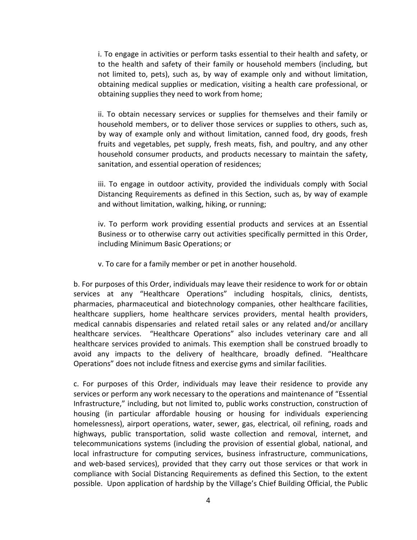i. To engage in activities or perform tasks essential to their health and safety, or to the health and safety of their family or household members (including, but not limited to, pets), such as, by way of example only and without limitation, obtaining medical supplies or medication, visiting a health care professional, or obtaining supplies they need to work from home;

ii. To obtain necessary services or supplies for themselves and their family or household members, or to deliver those services or supplies to others, such as, by way of example only and without limitation, canned food, dry goods, fresh fruits and vegetables, pet supply, fresh meats, fish, and poultry, and any other household consumer products, and products necessary to maintain the safety, sanitation, and essential operation of residences;

iii. To engage in outdoor activity, provided the individuals comply with Social Distancing Requirements as defined in this Section, such as, by way of example and without limitation, walking, hiking, or running;

iv. To perform work providing essential products and services at an Essential Business or to otherwise carry out activities specifically permitted in this Order, including Minimum Basic Operations; or

v. To care for a family member or pet in another household.

b. For purposes of this Order, individuals may leave their residence to work for or obtain services at any "Healthcare Operations" including hospitals, clinics, dentists, pharmacies, pharmaceutical and biotechnology companies, other healthcare facilities, healthcare suppliers, home healthcare services providers, mental health providers, medical cannabis dispensaries and related retail sales or any related and/or ancillary healthcare services. "Healthcare Operations" also includes veterinary care and all healthcare services provided to animals. This exemption shall be construed broadly to avoid any impacts to the delivery of healthcare, broadly defined. "Healthcare Operations" does not include fitness and exercise gyms and similar facilities.

c. For purposes of this Order, individuals may leave their residence to provide any services or perform any work necessary to the operations and maintenance of "Essential Infrastructure," including, but not limited to, public works construction, construction of housing (in particular affordable housing or housing for individuals experiencing homelessness), airport operations, water, sewer, gas, electrical, oil refining, roads and highways, public transportation, solid waste collection and removal, internet, and telecommunications systems (including the provision of essential global, national, and local infrastructure for computing services, business infrastructure, communications, and web-based services), provided that they carry out those services or that work in compliance with Social Distancing Requirements as defined this Section, to the extent possible. Upon application of hardship by the Village's Chief Building Official, the Public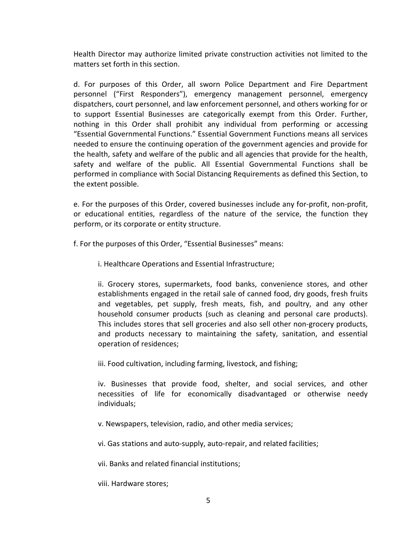Health Director may authorize limited private construction activities not limited to the matters set forth in this section.

d. For purposes of this Order, all sworn Police Department and Fire Department personnel ("First Responders"), emergency management personnel, emergency dispatchers, court personnel, and law enforcement personnel, and others working for or to support Essential Businesses are categorically exempt from this Order. Further, nothing in this Order shall prohibit any individual from performing or accessing "Essential Governmental Functions." Essential Government Functions means all services needed to ensure the continuing operation of the government agencies and provide for the health, safety and welfare of the public and all agencies that provide for the health, safety and welfare of the public. All Essential Governmental Functions shall be performed in compliance with Social Distancing Requirements as defined this Section, to the extent possible.

e. For the purposes of this Order, covered businesses include any for-profit, non-profit, or educational entities, regardless of the nature of the service, the function they perform, or its corporate or entity structure.

f. For the purposes of this Order, "Essential Businesses" means:

i. Healthcare Operations and Essential Infrastructure;

ii. Grocery stores, supermarkets, food banks, convenience stores, and other establishments engaged in the retail sale of canned food, dry goods, fresh fruits and vegetables, pet supply, fresh meats, fish, and poultry, and any other household consumer products (such as cleaning and personal care products). This includes stores that sell groceries and also sell other non-grocery products, and products necessary to maintaining the safety, sanitation, and essential operation of residences;

iii. Food cultivation, including farming, livestock, and fishing;

iv. Businesses that provide food, shelter, and social services, and other necessities of life for economically disadvantaged or otherwise needy individuals;

v. Newspapers, television, radio, and other media services;

vi. Gas stations and auto-supply, auto-repair, and related facilities;

vii. Banks and related financial institutions;

viii. Hardware stores;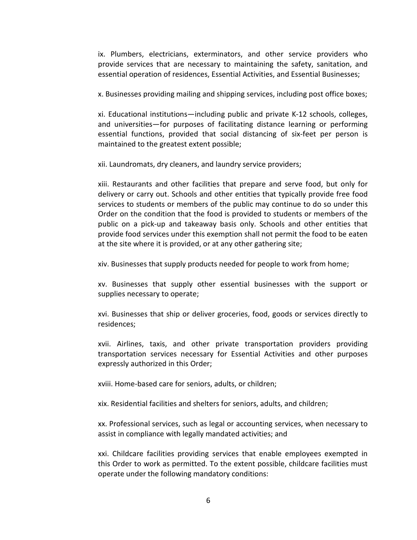ix. Plumbers, electricians, exterminators, and other service providers who provide services that are necessary to maintaining the safety, sanitation, and essential operation of residences, Essential Activities, and Essential Businesses;

x. Businesses providing mailing and shipping services, including post office boxes;

xi. Educational institutions—including public and private K-12 schools, colleges, and universities—for purposes of facilitating distance learning or performing essential functions, provided that social distancing of six-feet per person is maintained to the greatest extent possible;

xii. Laundromats, dry cleaners, and laundry service providers;

xiii. Restaurants and other facilities that prepare and serve food, but only for delivery or carry out. Schools and other entities that typically provide free food services to students or members of the public may continue to do so under this Order on the condition that the food is provided to students or members of the public on a pick-up and takeaway basis only. Schools and other entities that provide food services under this exemption shall not permit the food to be eaten at the site where it is provided, or at any other gathering site;

xiv. Businesses that supply products needed for people to work from home;

xv. Businesses that supply other essential businesses with the support or supplies necessary to operate;

xvi. Businesses that ship or deliver groceries, food, goods or services directly to residences;

xvii. Airlines, taxis, and other private transportation providers providing transportation services necessary for Essential Activities and other purposes expressly authorized in this Order;

xviii. Home-based care for seniors, adults, or children;

xix. Residential facilities and shelters for seniors, adults, and children;

xx. Professional services, such as legal or accounting services, when necessary to assist in compliance with legally mandated activities; and

xxi. Childcare facilities providing services that enable employees exempted in this Order to work as permitted. To the extent possible, childcare facilities must operate under the following mandatory conditions: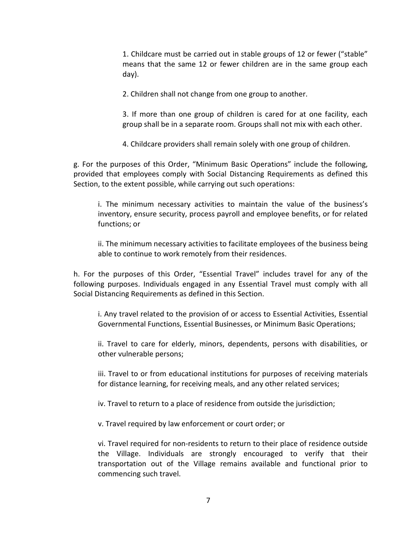1. Childcare must be carried out in stable groups of 12 or fewer ("stable" means that the same 12 or fewer children are in the same group each day).

2. Children shall not change from one group to another.

3. If more than one group of children is cared for at one facility, each group shall be in a separate room. Groups shall not mix with each other.

4. Childcare providers shall remain solely with one group of children.

g. For the purposes of this Order, "Minimum Basic Operations" include the following, provided that employees comply with Social Distancing Requirements as defined this Section, to the extent possible, while carrying out such operations:

i. The minimum necessary activities to maintain the value of the business's inventory, ensure security, process payroll and employee benefits, or for related functions; or

ii. The minimum necessary activities to facilitate employees of the business being able to continue to work remotely from their residences.

h. For the purposes of this Order, "Essential Travel" includes travel for any of the following purposes. Individuals engaged in any Essential Travel must comply with all Social Distancing Requirements as defined in this Section.

i. Any travel related to the provision of or access to Essential Activities, Essential Governmental Functions, Essential Businesses, or Minimum Basic Operations;

ii. Travel to care for elderly, minors, dependents, persons with disabilities, or other vulnerable persons;

iii. Travel to or from educational institutions for purposes of receiving materials for distance learning, for receiving meals, and any other related services;

iv. Travel to return to a place of residence from outside the jurisdiction;

v. Travel required by law enforcement or court order; or

vi. Travel required for non-residents to return to their place of residence outside the Village. Individuals are strongly encouraged to verify that their transportation out of the Village remains available and functional prior to commencing such travel.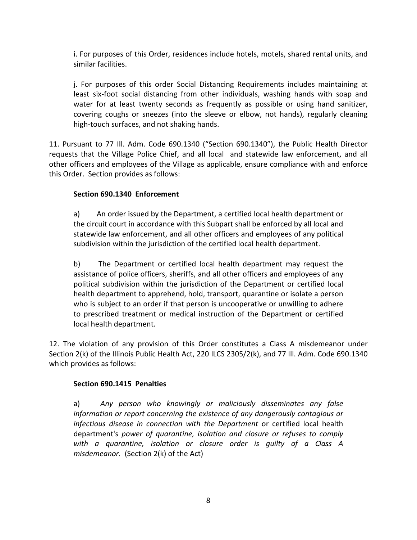i. For purposes of this Order, residences include hotels, motels, shared rental units, and similar facilities.

j. For purposes of this order Social Distancing Requirements includes maintaining at least six-foot social distancing from other individuals, washing hands with soap and water for at least twenty seconds as frequently as possible or using hand sanitizer, covering coughs or sneezes (into the sleeve or elbow, not hands), regularly cleaning high-touch surfaces, and not shaking hands.

11. Pursuant to 77 Ill. Adm. Code 690.1340 ("Section 690.1340"), the Public Health Director requests that the Village Police Chief, and all local and statewide law enforcement, and all other officers and employees of the Village as applicable, ensure compliance with and enforce this Order. Section provides as follows:

## **Section 690.1340 Enforcement**

a) An order issued by the Department, a certified local health department or the circuit court in accordance with this Subpart shall be enforced by all local and statewide law enforcement, and all other officers and employees of any political subdivision within the jurisdiction of the certified local health department.

b) The Department or certified local health department may request the assistance of police officers, sheriffs, and all other officers and employees of any political subdivision within the jurisdiction of the Department or certified local health department to apprehend, hold, transport, quarantine or isolate a person who is subject to an order if that person is uncooperative or unwilling to adhere to prescribed treatment or medical instruction of the Department or certified local health department.

12. The violation of any provision of this Order constitutes a Class A misdemeanor under Section 2(k) of the Illinois Public Health Act, 220 ILCS 2305/2(k), and 77 Ill. Adm. Code 690.1340 which provides as follows:

## **Section 690.1415 Penalties**

a) *Any person who knowingly or maliciously disseminates any false information or report concerning the existence of any dangerously contagious or infectious disease in connection with the Department* or certified local health department's *power of quarantine, isolation and closure or refuses to comply with a quarantine, isolation or closure order is guilty of a Class A misdemeanor.* (Section 2(k) of the Act)